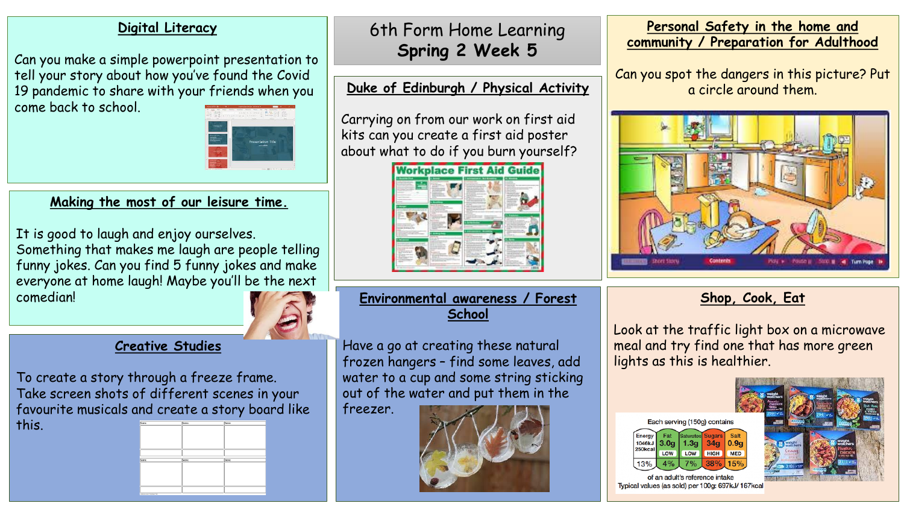#### **Digital Literacy**

Can you make a simple powerpoint presentation to tell your story about how you've found the Covid 19 pandemic to share with your friends when you come back to school.



### **Making the most of our leisure time.**

It is good to laugh and enjoy ourselves. Something that makes me laugh are people telling funny jokes. Can you find 5 funny jokes and make everyone at home laugh! Maybe you'll be the next

comedian!

#### **Creative Studies**

To create a story through a freeze frame. Take screen shots of different scenes in your favourite musicals and create a story board like this.



# 6th Form Home Learning **Spring 2 Week 5**

## **Duke of Edinburgh / Physical Activity**

Carrying on from our work on first aid kits can you create a first aid poster about what to do if you burn yourself?



#### **Environmental awareness / Forest School**

Have a go at creating these natural frozen hangers – find some leaves, add water to a cup and some string sticking out of the water and put them in the freezer.



#### **Personal Safety in the home and community / Preparation for Adulthood**

Can you spot the dangers in this picture? Put a circle around them.



# **Shop, Cook, Eat**

Look at the traffic light box on a microwave meal and try find one that has more green lights as this is healthier.





Typical values (as sold) per 100g: 697kJ/ 167kcal